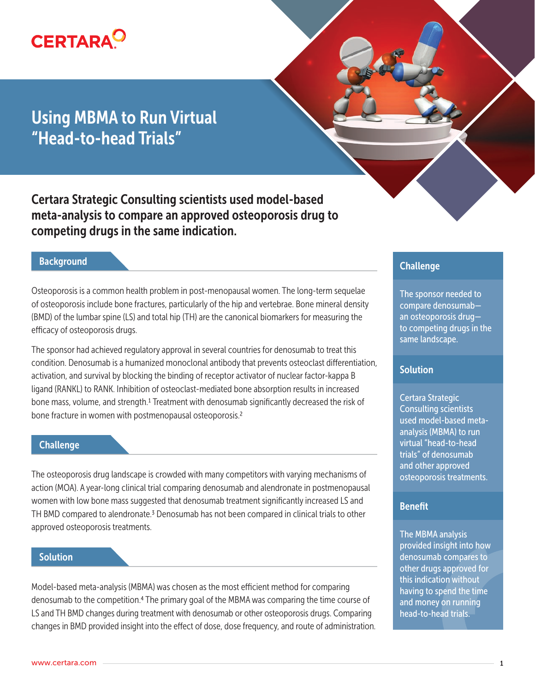

# Using MBMA to Run Virtual "Head-to-head Trials"

Certara Strategic Consulting scientists used model-based meta-analysis to compare an approved osteoporosis drug to competing drugs in the same indication.

## **Background**

Osteoporosis is a common health problem in post-menopausal women. The long-term sequelae of osteoporosis include bone fractures, particularly of the hip and vertebrae. Bone mineral density (BMD) of the lumbar spine (LS) and total hip (TH) are the canonical biomarkers for measuring the efficacy of osteoporosis drugs.

The sponsor had achieved regulatory approval in several countries for denosumab to treat this condition. Denosumab is a humanized monoclonal antibody that prevents osteoclast differentiation, activation, and survival by blocking the binding of receptor activator of nuclear factor-kappa B ligand (RANKL) to RANK. Inhibition of osteoclast-mediated bone absorption results in increased bone mass, volume, and strength.1 Treatment with denosumab significantly decreased the risk of bone fracture in women with postmenopausal osteoporosis.<sup>2</sup>

#### **Challenge**

The osteoporosis drug landscape is crowded with many competitors with varying mechanisms of action (MOA). A year-long clinical trial comparing denosumab and alendronate in postmenopausal women with low bone mass suggested that denosumab treatment significantly increased LS and TH BMD compared to alendronate.<sup>3</sup> Denosumab has not been compared in clinical trials to other approved osteoporosis treatments.

#### **Solution**

Model-based meta-analysis (MBMA) was chosen as the most efficient method for comparing denosumab to the competition.4 The primary goal of the MBMA was comparing the time course of LS and TH BMD changes during treatment with denosumab or other osteoporosis drugs. Comparing changes in BMD provided insight into the effect of dose, dose frequency, and route of administration.

## Challenge

The sponsor needed to compare denosumab an osteoporosis drug to competing drugs in the same landscape.

## **Solution**

Certara Strategic Consulting scientists used model-based metaanalysis (MBMA) to run virtual "head-to-head trials" of denosumab and other approved osteoporosis treatments.

### Benefit

The MBMA analysis provided insight into how denosumab compares to other drugs approved for this indication without having to spend the time and money on running head-to-head trials.